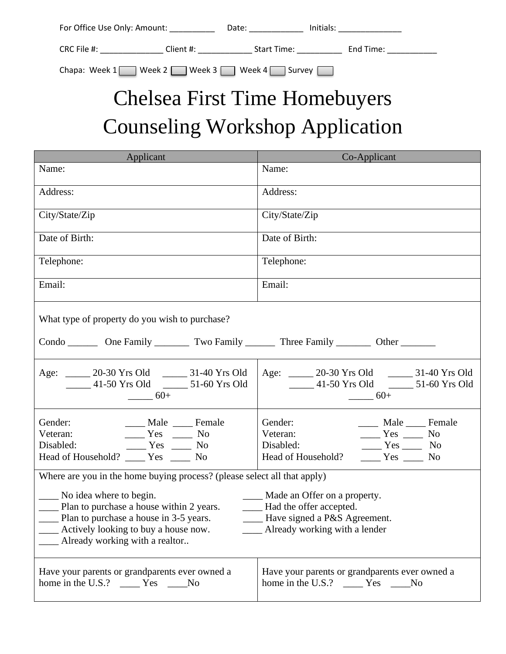| For Office Use Only: Amount: |           | Date:              | Initials: |           |  |
|------------------------------|-----------|--------------------|-----------|-----------|--|
| CRC File #:                  | Client #: | <b>Start Time:</b> |           | End Time: |  |
|                              |           |                    |           |           |  |

## Chapa: Week  $1$  Week  $2$  Week  $3$  Week  $4$  Survey

## Chelsea First Time Homebuyers Counseling Workshop Application

| Applicant                                                                                                                                                                                                                                                                                                                                                                                                                | Co-Applicant                                                                                                                                                                    |  |  |  |
|--------------------------------------------------------------------------------------------------------------------------------------------------------------------------------------------------------------------------------------------------------------------------------------------------------------------------------------------------------------------------------------------------------------------------|---------------------------------------------------------------------------------------------------------------------------------------------------------------------------------|--|--|--|
| Name:                                                                                                                                                                                                                                                                                                                                                                                                                    | Name:                                                                                                                                                                           |  |  |  |
| Address:                                                                                                                                                                                                                                                                                                                                                                                                                 | Address:                                                                                                                                                                        |  |  |  |
| City/State/Zip                                                                                                                                                                                                                                                                                                                                                                                                           | City/State/Zip                                                                                                                                                                  |  |  |  |
| Date of Birth:                                                                                                                                                                                                                                                                                                                                                                                                           | Date of Birth:                                                                                                                                                                  |  |  |  |
| Telephone:                                                                                                                                                                                                                                                                                                                                                                                                               | Telephone:                                                                                                                                                                      |  |  |  |
| Email:                                                                                                                                                                                                                                                                                                                                                                                                                   | Email:                                                                                                                                                                          |  |  |  |
| What type of property do you wish to purchase?<br>Condo __________ One Family ____________ Two Family ___________ Three Family ___________ Other __________                                                                                                                                                                                                                                                              |                                                                                                                                                                                 |  |  |  |
| Age: 20-30 Yrs Old 21-40 Yrs Old<br>41-50 Yrs Old _________ 51-60 Yrs Old<br>$60+$                                                                                                                                                                                                                                                                                                                                       | Age: 20-30 Yrs Old 21-40 Yrs Old<br>41-50 Yrs Old 150 September 51-60 Yrs Old<br>$60+$                                                                                          |  |  |  |
| Gender:<br>Male Female<br>$Yes$ No<br>Veteran:<br>Disabled:<br>$Yes$ No<br>Head of Household? _____ Yes _____ No                                                                                                                                                                                                                                                                                                         | Gender:<br>Male _____ Female<br>$Yes$ No<br>Veteran:<br>Disabled:<br>$\frac{1}{\sqrt{1-\frac{1}{2}}}$ Yes $\frac{1}{\sqrt{1-\frac{1}{2}}}$ No<br>Head of Household?<br>$Yes$ No |  |  |  |
| Where are you in the home buying process? (please select all that apply)<br>No idea where to begin.<br>____ Made an Offer on a property.<br><u>Delam</u> Plan to purchase a house within 2 years.<br>Had the offer accepted.<br>Plan to purchase a house in 3-5 years.<br>Have signed a P&S Agreement.<br>______ Already working with a lender<br>Actively looking to buy a house now.<br>Already working with a realtor |                                                                                                                                                                                 |  |  |  |
| Have your parents or grandparents ever owned a<br>home in the U.S.? $\_\_\_\$ Yes $\_\_\_\$ No                                                                                                                                                                                                                                                                                                                           | Have your parents or grandparents ever owned a<br>home in the U.S.? $\_\_\_\_\$ Yes $\_\_\_\$ No                                                                                |  |  |  |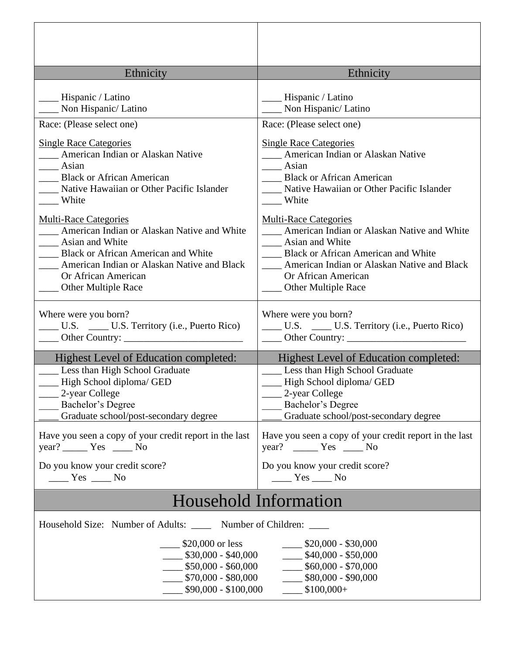| Ethnicity                                                                                                                                                                                                                                                                                                               | Ethnicity                                                                                                                                                                                                                                                                                                                                                                                                             |  |  |  |
|-------------------------------------------------------------------------------------------------------------------------------------------------------------------------------------------------------------------------------------------------------------------------------------------------------------------------|-----------------------------------------------------------------------------------------------------------------------------------------------------------------------------------------------------------------------------------------------------------------------------------------------------------------------------------------------------------------------------------------------------------------------|--|--|--|
| __ Hispanic / Latino                                                                                                                                                                                                                                                                                                    | __ Hispanic / Latino                                                                                                                                                                                                                                                                                                                                                                                                  |  |  |  |
| Non Hispanic/Latino                                                                                                                                                                                                                                                                                                     | Non Hispanic/Latino                                                                                                                                                                                                                                                                                                                                                                                                   |  |  |  |
| Race: (Please select one)                                                                                                                                                                                                                                                                                               | Race: (Please select one)                                                                                                                                                                                                                                                                                                                                                                                             |  |  |  |
| <b>Single Race Categories</b>                                                                                                                                                                                                                                                                                           | <b>Single Race Categories</b>                                                                                                                                                                                                                                                                                                                                                                                         |  |  |  |
| American Indian or Alaskan Native                                                                                                                                                                                                                                                                                       | American Indian or Alaskan Native                                                                                                                                                                                                                                                                                                                                                                                     |  |  |  |
| $\frac{1}{2}$ Asian                                                                                                                                                                                                                                                                                                     | Asian                                                                                                                                                                                                                                                                                                                                                                                                                 |  |  |  |
| <b>Black or African American</b>                                                                                                                                                                                                                                                                                        | <b>Black or African American</b>                                                                                                                                                                                                                                                                                                                                                                                      |  |  |  |
| Native Hawaiian or Other Pacific Islander                                                                                                                                                                                                                                                                               | Native Hawaiian or Other Pacific Islander                                                                                                                                                                                                                                                                                                                                                                             |  |  |  |
| White                                                                                                                                                                                                                                                                                                                   | White                                                                                                                                                                                                                                                                                                                                                                                                                 |  |  |  |
| <b>Multi-Race Categories</b>                                                                                                                                                                                                                                                                                            | <b>Multi-Race Categories</b>                                                                                                                                                                                                                                                                                                                                                                                          |  |  |  |
| American Indian or Alaskan Native and White                                                                                                                                                                                                                                                                             | American Indian or Alaskan Native and White                                                                                                                                                                                                                                                                                                                                                                           |  |  |  |
| __ Asian and White                                                                                                                                                                                                                                                                                                      | _____ Asian and White                                                                                                                                                                                                                                                                                                                                                                                                 |  |  |  |
| <b>Black or African American and White</b>                                                                                                                                                                                                                                                                              | <b>Black or African American and White</b>                                                                                                                                                                                                                                                                                                                                                                            |  |  |  |
| American Indian or Alaskan Native and Black                                                                                                                                                                                                                                                                             | American Indian or Alaskan Native and Black                                                                                                                                                                                                                                                                                                                                                                           |  |  |  |
| Or African American                                                                                                                                                                                                                                                                                                     | Or African American                                                                                                                                                                                                                                                                                                                                                                                                   |  |  |  |
| Other Multiple Race                                                                                                                                                                                                                                                                                                     | Other Multiple Race                                                                                                                                                                                                                                                                                                                                                                                                   |  |  |  |
| Where were you born?                                                                                                                                                                                                                                                                                                    | Where were you born?                                                                                                                                                                                                                                                                                                                                                                                                  |  |  |  |
| U.S. _____ U.S. Territory (i.e., Puerto Rico)                                                                                                                                                                                                                                                                           | U.S. ____ U.S. Territory (i.e., Puerto Rico)                                                                                                                                                                                                                                                                                                                                                                          |  |  |  |
| $\frac{1}{2}$ Other Country: $\frac{1}{2}$                                                                                                                                                                                                                                                                              |                                                                                                                                                                                                                                                                                                                                                                                                                       |  |  |  |
| Highest Level of Education completed:                                                                                                                                                                                                                                                                                   | <b>Highest Level of Education completed:</b>                                                                                                                                                                                                                                                                                                                                                                          |  |  |  |
| __ Less than High School Graduate                                                                                                                                                                                                                                                                                       | Less than High School Graduate                                                                                                                                                                                                                                                                                                                                                                                        |  |  |  |
| High School diploma/ GED                                                                                                                                                                                                                                                                                                | High School diploma/ GED                                                                                                                                                                                                                                                                                                                                                                                              |  |  |  |
| 2-year College                                                                                                                                                                                                                                                                                                          | 2-year College                                                                                                                                                                                                                                                                                                                                                                                                        |  |  |  |
| Bachelor's Degree                                                                                                                                                                                                                                                                                                       | Bachelor's Degree                                                                                                                                                                                                                                                                                                                                                                                                     |  |  |  |
| Graduate school/post-secondary degree                                                                                                                                                                                                                                                                                   | Graduate school/post-secondary degree                                                                                                                                                                                                                                                                                                                                                                                 |  |  |  |
| Have you seen a copy of your credit report in the last                                                                                                                                                                                                                                                                  | Have you seen a copy of your credit report in the last                                                                                                                                                                                                                                                                                                                                                                |  |  |  |
| $year?$ Yes _______ No                                                                                                                                                                                                                                                                                                  | year? ________ Yes ______ No                                                                                                                                                                                                                                                                                                                                                                                          |  |  |  |
| Do you know your credit score?                                                                                                                                                                                                                                                                                          | Do you know your credit score?                                                                                                                                                                                                                                                                                                                                                                                        |  |  |  |
| $\frac{\ }{\ }$ Yes $\frac{\ }{\ }$ No                                                                                                                                                                                                                                                                                  | $\frac{1}{\sqrt{1-\frac{1}{1-\frac{1}{1-\frac{1}{1-\frac{1}{1-\frac{1}{1-\frac{1}{1-\frac{1}{1-\frac{1}{1-\frac{1}{1-\frac{1}{1-\frac{1}{1-\frac{1}{1-\frac{1}{1-\frac{1}{1-\frac{1}{1-\frac{1}{1-\frac{1}{1-\frac{1}{1-\frac{1}{1-\frac{1}{1-\frac{1}{1-\frac{1}{1-\frac{1}{1-\frac{1}{1-\frac{1}{1-\frac{1}{1-\frac{1}{1-\frac{1}{1-\frac{1}{1-\frac{1}{1-\frac{1}{1-\frac{1}{1-\frac{1}{1-\frac{1}{1-\frac{1}{1-\$ |  |  |  |
| <b>Household Information</b>                                                                                                                                                                                                                                                                                            |                                                                                                                                                                                                                                                                                                                                                                                                                       |  |  |  |
| Household Size: Number of Adults: ______ Number of Children: _____                                                                                                                                                                                                                                                      |                                                                                                                                                                                                                                                                                                                                                                                                                       |  |  |  |
| $$20,000$ or less<br>$\frac{\$20,000 - \$30,000}{\$}$<br>$\frac{\$30,000 - \$40,000}{\$}$<br>$\frac{\$40,000 - \$50,000}{\$}$<br>$\frac{\$60,000 - \$70,000}{\$}$<br>$$50,000 - $60,000$<br>$\frac{\$70,000 - \$80,000}{\$}$<br>$\frac{\$80,000 - \$90,000}{\$}$<br>$\frac{\$90,000 - \$100,000}{\$}$<br>$-$ \$100,000+ |                                                                                                                                                                                                                                                                                                                                                                                                                       |  |  |  |